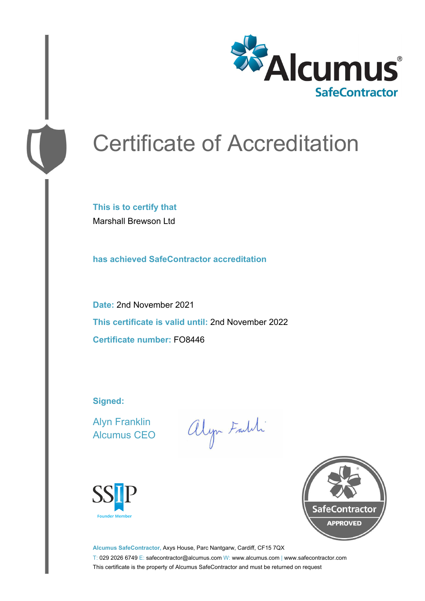

# Certificate of Accreditation

**This is to certify that** Marshall Brewson Ltd

**has achieved SafeContractor accreditation**

**Date:** 2nd November 2021 **This certificate is valid until:** 2nd November 2022 **Certificate number:** FO8446

**Signed:**

Alyn Franklin Alcumus CEO

alyn Faith





**Alcumus SafeContractor,** Axys House, Parc Nantgarw, Cardiff, CF15 7QX T: 029 2026 6749 E: safecontractor@alcumus.com W: www.alcumus.com | www.safecontractor.com This certificate is the property of Alcumus SafeContractor and must be returned on request